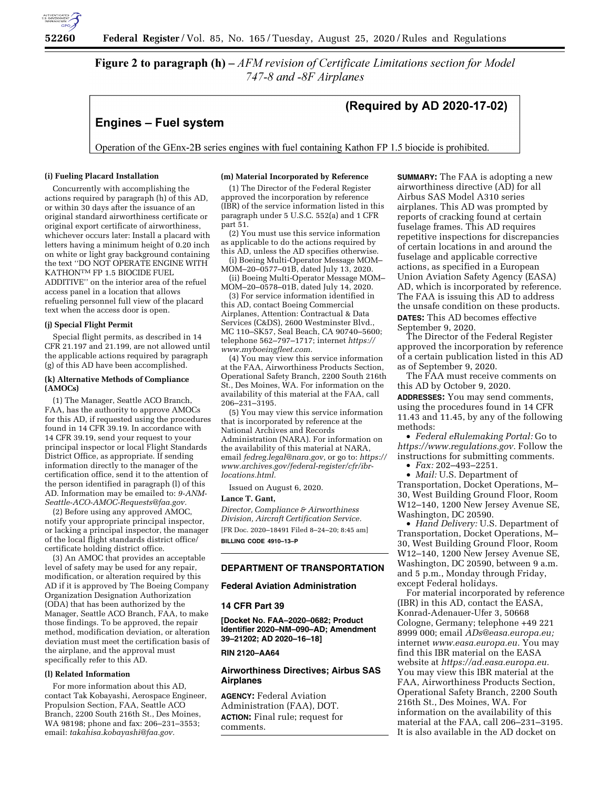

**Figure 2 to paragraph (h)**  $-AFM$  revision of Certificate Limitations section for Model 747-8 and -8F Airplanes

# **Engines - Fuel system**

# (Required by AD 2020-17-02)

Operation of the GEnx-2B series engines with fuel containing Kathon FP 1.5 biocide is prohibited.

## **(i) Fueling Placard Installation**

Concurrently with accomplishing the actions required by paragraph (h) of this AD, or within 30 days after the issuance of an original standard airworthiness certificate or original export certificate of airworthiness, whichever occurs later: Install a placard with letters having a minimum height of 0.20 inch on white or light gray background containing the text ''DO NOT OPERATE ENGINE WITH KATHONTM FP 1.5 BIOCIDE FUEL ADDITIVE'' on the interior area of the refuel access panel in a location that allows refueling personnel full view of the placard text when the access door is open.

#### **(j) Special Flight Permit**

Special flight permits, as described in 14 CFR 21.197 and 21.199, are not allowed until the applicable actions required by paragraph (g) of this AD have been accomplished.

#### **(k) Alternative Methods of Compliance (AMOCs)**

(1) The Manager, Seattle ACO Branch, FAA, has the authority to approve AMOCs for this AD, if requested using the procedures found in 14 CFR 39.19. In accordance with 14 CFR 39.19, send your request to your principal inspector or local Flight Standards District Office, as appropriate. If sending information directly to the manager of the certification office, send it to the attention of the person identified in paragraph (l) of this AD. Information may be emailed to: *[9-ANM-](mailto:9-ANM-Seattle-ACO-AMOC-Requests@faa.gov)[Seattle-ACO-AMOC-Requests@faa.gov.](mailto:9-ANM-Seattle-ACO-AMOC-Requests@faa.gov)* 

(2) Before using any approved AMOC, notify your appropriate principal inspector, or lacking a principal inspector, the manager of the local flight standards district office/ certificate holding district office.

(3) An AMOC that provides an acceptable level of safety may be used for any repair, modification, or alteration required by this AD if it is approved by The Boeing Company Organization Designation Authorization (ODA) that has been authorized by the Manager, Seattle ACO Branch, FAA, to make those findings. To be approved, the repair method, modification deviation, or alteration deviation must meet the certification basis of the airplane, and the approval must specifically refer to this AD.

#### **(l) Related Information**

For more information about this AD, contact Tak Kobayashi, Aerospace Engineer, Propulsion Section, FAA, Seattle ACO Branch, 2200 South 216th St., Des Moines, WA 98198; phone and fax: 206–231–3553; email: *[takahisa.kobayashi@faa.gov.](mailto:takahisa.kobayashi@faa.gov)* 

## **(m) Material Incorporated by Reference**

(1) The Director of the Federal Register approved the incorporation by reference (IBR) of the service information listed in this paragraph under 5 U.S.C. 552(a) and 1 CFR part 51.

(2) You must use this service information as applicable to do the actions required by this AD, unless the AD specifies otherwise.

(i) Boeing Multi-Operator Message MOM– MOM–20–0577–01B, dated July 13, 2020.

(ii) Boeing Multi-Operator Message MOM– MOM–20–0578–01B, dated July 14, 2020.

(3) For service information identified in this AD, contact Boeing Commercial Airplanes, Attention: Contractual & Data Services (C&DS), 2600 Westminster Blvd., MC 110–SK57, Seal Beach, CA 90740–5600; telephone 562–797–1717; internet *[https://](https://www.myboeingfleet.com) [www.myboeingfleet.com.](https://www.myboeingfleet.com)* 

(4) You may view this service information at the FAA, Airworthiness Products Section, Operational Safety Branch, 2200 South 216th St., Des Moines, WA. For information on the availability of this material at the FAA, call 206–231–3195.

(5) You may view this service information that is incorporated by reference at the National Archives and Records Administration (NARA). For information on the availability of this material at NARA, email *[fedreg.legal@nara.gov,](mailto:fedreg.legal@nara.gov)* or go to: *[https://](https://www.archives.gov/federal-register/cfr/ibr-locations.html) [www.archives.gov/federal-register/cfr/ibr](https://www.archives.gov/federal-register/cfr/ibr-locations.html)[locations.html.](https://www.archives.gov/federal-register/cfr/ibr-locations.html)* 

Issued on August 6, 2020.

#### **Lance T. Gant,**

*Director, Compliance & Airworthiness Division, Aircraft Certification Service.*  [FR Doc. 2020–18491 Filed 8–24–20; 8:45 am]

**BILLING CODE 4910–13–P** 

# **DEPARTMENT OF TRANSPORTATION**

# **Federal Aviation Administration**

#### **14 CFR Part 39**

**[Docket No. FAA–2020–0682; Product Identifier 2020–NM–090–AD; Amendment 39–21202; AD 2020–16–18]** 

#### **RIN 2120–AA64**

## **Airworthiness Directives; Airbus SAS Airplanes**

**AGENCY:** Federal Aviation Administration (FAA), DOT. **ACTION:** Final rule; request for comments.

**SUMMARY:** The FAA is adopting a new airworthiness directive (AD) for all Airbus SAS Model A310 series airplanes. This AD was prompted by reports of cracking found at certain fuselage frames. This AD requires repetitive inspections for discrepancies of certain locations in and around the fuselage and applicable corrective actions, as specified in a European Union Aviation Safety Agency (EASA) AD, which is incorporated by reference. The FAA is issuing this AD to address the unsafe condition on these products. **DATES:** This AD becomes effective September 9, 2020.

The Director of the Federal Register approved the incorporation by reference of a certain publication listed in this AD as of September 9, 2020.

The FAA must receive comments on this AD by October 9, 2020.

**ADDRESSES:** You may send comments, using the procedures found in 14 CFR 11.43 and 11.45, by any of the following methods:

• *Federal eRulemaking Portal:* Go to *[https://www.regulations.gov.](https://www.regulations.gov)* Follow the instructions for submitting comments.

• *Fax:* 202–493–2251.

• *Mail:* U.S. Department of Transportation, Docket Operations, M– 30, West Building Ground Floor, Room W12–140, 1200 New Jersey Avenue SE, Washington, DC 20590.

• *Hand Delivery:* U.S. Department of Transportation, Docket Operations, M– 30, West Building Ground Floor, Room W12–140, 1200 New Jersey Avenue SE, Washington, DC 20590, between 9 a.m. and 5 p.m., Monday through Friday, except Federal holidays.

For material incorporated by reference (IBR) in this AD, contact the EASA, Konrad-Adenauer-Ufer 3, 50668 Cologne, Germany; telephone +49 221 8999 000; email *[ADs@easa.europa.eu;](mailto:ADs@easa.europa.eu)*  internet *[www.easa.europa.eu.](http://www.easa.europa.eu)* You may find this IBR material on the EASA website at *[https://ad.easa.europa.eu.](https://ad.easa.europa.eu)*  You may view this IBR material at the FAA, Airworthiness Products Section, Operational Safety Branch, 2200 South 216th St., Des Moines, WA. For information on the availability of this material at the FAA, call 206–231–3195. It is also available in the AD docket on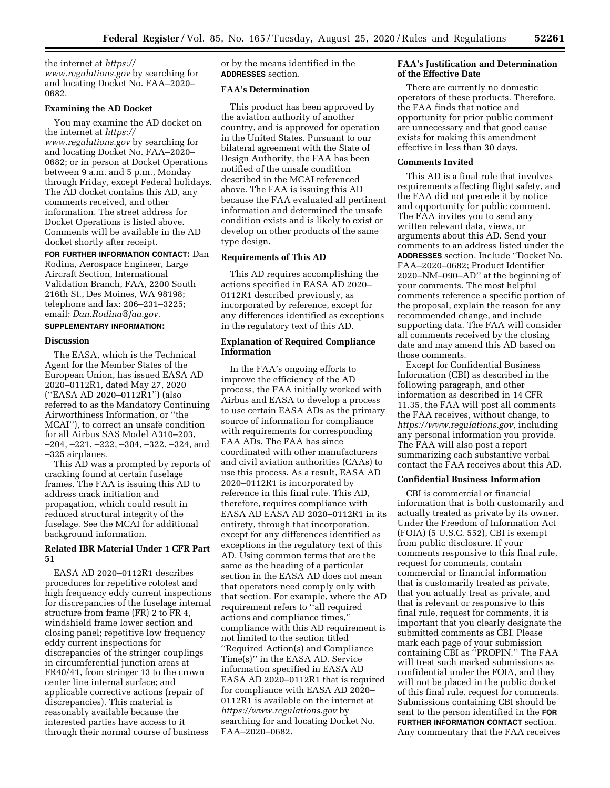the internet at *[https://](https://www.regulations.gov) [www.regulations.gov](https://www.regulations.gov)* by searching for and locating Docket No. FAA–2020– 0682.

# **Examining the AD Docket**

You may examine the AD docket on the internet at *[https://](https://www.regulations.gov) [www.regulations.gov](https://www.regulations.gov)* by searching for and locating Docket No. FAA–2020– 0682; or in person at Docket Operations between 9 a.m. and 5 p.m., Monday through Friday, except Federal holidays. The AD docket contains this AD, any comments received, and other information. The street address for Docket Operations is listed above. Comments will be available in the AD docket shortly after receipt.

# **FOR FURTHER INFORMATION CONTACT:** Dan

Rodina, Aerospace Engineer, Large Aircraft Section, International Validation Branch, FAA, 2200 South 216th St., Des Moines, WA 98198; telephone and fax: 206–231–3225; email: *[Dan.Rodina@faa.gov.](mailto:Dan.Rodina@faa.gov)* 

#### **SUPPLEMENTARY INFORMATION:**

#### **Discussion**

The EASA, which is the Technical Agent for the Member States of the European Union, has issued EASA AD 2020–0112R1, dated May 27, 2020 (''EASA AD 2020–0112R1'') (also referred to as the Mandatory Continuing Airworthiness Information, or ''the MCAI''), to correct an unsafe condition for all Airbus SAS Model A310–203, –204, –221, –222, –304, –322, –324, and –325 airplanes.

This AD was a prompted by reports of cracking found at certain fuselage frames. The FAA is issuing this AD to address crack initiation and propagation, which could result in reduced structural integrity of the fuselage. See the MCAI for additional background information.

# **Related IBR Material Under 1 CFR Part 51**

EASA AD 2020–0112R1 describes procedures for repetitive rototest and high frequency eddy current inspections for discrepancies of the fuselage internal structure from frame (FR) 2 to FR 4, windshield frame lower section and closing panel; repetitive low frequency eddy current inspections for discrepancies of the stringer couplings in circumferential junction areas at FR40/41, from stringer 13 to the crown center line internal surface; and applicable corrective actions (repair of discrepancies). This material is reasonably available because the interested parties have access to it through their normal course of business

or by the means identified in the **ADDRESSES** section.

#### **FAA's Determination**

This product has been approved by the aviation authority of another country, and is approved for operation in the United States. Pursuant to our bilateral agreement with the State of Design Authority, the FAA has been notified of the unsafe condition described in the MCAI referenced above. The FAA is issuing this AD because the FAA evaluated all pertinent information and determined the unsafe condition exists and is likely to exist or develop on other products of the same type design.

#### **Requirements of This AD**

This AD requires accomplishing the actions specified in EASA AD 2020– 0112R1 described previously, as incorporated by reference, except for any differences identified as exceptions in the regulatory text of this AD.

# **Explanation of Required Compliance Information**

In the FAA's ongoing efforts to improve the efficiency of the AD process, the FAA initially worked with Airbus and EASA to develop a process to use certain EASA ADs as the primary source of information for compliance with requirements for corresponding FAA ADs. The FAA has since coordinated with other manufacturers and civil aviation authorities (CAAs) to use this process. As a result, EASA AD 2020–0112R1 is incorporated by reference in this final rule. This AD, therefore, requires compliance with EASA AD EASA AD 2020–0112R1 in its entirety, through that incorporation, except for any differences identified as exceptions in the regulatory text of this AD. Using common terms that are the same as the heading of a particular section in the EASA AD does not mean that operators need comply only with that section. For example, where the AD requirement refers to ''all required actions and compliance times,'' compliance with this AD requirement is not limited to the section titled ''Required Action(s) and Compliance Time(s)'' in the EASA AD. Service information specified in EASA AD EASA AD 2020–0112R1 that is required for compliance with EASA AD 2020– 0112R1 is available on the internet at *<https://www.regulations.gov>* by searching for and locating Docket No. FAA–2020–0682.

#### **FAA's Justification and Determination of the Effective Date**

There are currently no domestic operators of these products. Therefore, the FAA finds that notice and opportunity for prior public comment are unnecessary and that good cause exists for making this amendment effective in less than 30 days.

# **Comments Invited**

This AD is a final rule that involves requirements affecting flight safety, and the FAA did not precede it by notice and opportunity for public comment. The FAA invites you to send any written relevant data, views, or arguments about this AD. Send your comments to an address listed under the **ADDRESSES** section. Include ''Docket No. FAA–2020–0682; Product Identifier 2020–NM–090–AD'' at the beginning of your comments. The most helpful comments reference a specific portion of the proposal, explain the reason for any recommended change, and include supporting data. The FAA will consider all comments received by the closing date and may amend this AD based on those comments.

Except for Confidential Business Information (CBI) as described in the following paragraph, and other information as described in 14 CFR 11.35, the FAA will post all comments the FAA receives, without change, to *[https://www.regulations.gov,](https://www.regulations.gov)* including any personal information you provide. The FAA will also post a report summarizing each substantive verbal contact the FAA receives about this AD.

#### **Confidential Business Information**

CBI is commercial or financial information that is both customarily and actually treated as private by its owner. Under the Freedom of Information Act (FOIA) (5 U.S.C. 552), CBI is exempt from public disclosure. If your comments responsive to this final rule, request for comments, contain commercial or financial information that is customarily treated as private, that you actually treat as private, and that is relevant or responsive to this final rule, request for comments, it is important that you clearly designate the submitted comments as CBI. Please mark each page of your submission containing CBI as ''PROPIN.'' The FAA will treat such marked submissions as confidential under the FOIA, and they will not be placed in the public docket of this final rule, request for comments. Submissions containing CBI should be sent to the person identified in the **FOR FURTHER INFORMATION CONTACT** section. Any commentary that the FAA receives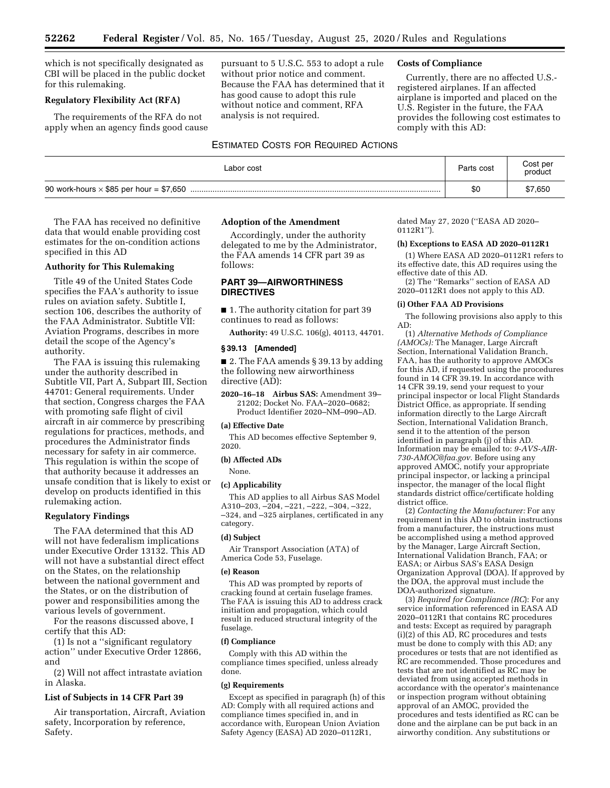which is not specifically designated as CBI will be placed in the public docket for this rulemaking.

#### **Regulatory Flexibility Act (RFA)**

The requirements of the RFA do not apply when an agency finds good cause pursuant to 5 U.S.C. 553 to adopt a rule without prior notice and comment. Because the FAA has determined that it has good cause to adopt this rule without notice and comment, RFA analysis is not required.

#### ESTIMATED COSTS FOR REQUIRED ACTIONS

# **Costs of Compliance**

Currently, there are no affected U.S. registered airplanes. If an affected airplane is imported and placed on the U.S. Register in the future, the FAA provides the following cost estimates to comply with this AD:

| Labor cost                                     | Parts cost | Cost per<br>product |
|------------------------------------------------|------------|---------------------|
| 90 work-hours $\times$ \$85 per hour = \$7,650 | \$0        | \$7,650             |

The FAA has received no definitive data that would enable providing cost estimates for the on-condition actions specified in this AD

#### **Authority for This Rulemaking**

Title 49 of the United States Code specifies the FAA's authority to issue rules on aviation safety. Subtitle I, section 106, describes the authority of the FAA Administrator. Subtitle VII: Aviation Programs, describes in more detail the scope of the Agency's authority.

The FAA is issuing this rulemaking under the authority described in Subtitle VII, Part A, Subpart III, Section 44701: General requirements. Under that section, Congress charges the FAA with promoting safe flight of civil aircraft in air commerce by prescribing regulations for practices, methods, and procedures the Administrator finds necessary for safety in air commerce. This regulation is within the scope of that authority because it addresses an unsafe condition that is likely to exist or develop on products identified in this rulemaking action.

#### **Regulatory Findings**

The FAA determined that this AD will not have federalism implications under Executive Order 13132. This AD will not have a substantial direct effect on the States, on the relationship between the national government and the States, or on the distribution of power and responsibilities among the various levels of government.

For the reasons discussed above, I certify that this AD:

(1) Is not a ''significant regulatory action'' under Executive Order 12866, and

(2) Will not affect intrastate aviation in Alaska.

#### **List of Subjects in 14 CFR Part 39**

Air transportation, Aircraft, Aviation safety, Incorporation by reference, Safety.

#### **Adoption of the Amendment**

Accordingly, under the authority delegated to me by the Administrator, the FAA amends 14 CFR part 39 as follows:

# **PART 39—AIRWORTHINESS DIRECTIVES**

■ 1. The authority citation for part 39 continues to read as follows:

**Authority:** 49 U.S.C. 106(g), 40113, 44701.

#### **§ 39.13 [Amended]**

■ 2. The FAA amends § 39.13 by adding the following new airworthiness directive (AD):

**2020–16–18 Airbus SAS:** Amendment 39– 21202; Docket No. FAA–2020–0682; Product Identifier 2020–NM–090–AD.

# **(a) Effective Date**

This AD becomes effective September 9, 2020.

# **(b) Affected ADs**

None.

#### **(c) Applicability**

This AD applies to all Airbus SAS Model A310–203, –204, –221, –222, –304, –322, –324, and –325 airplanes, certificated in any category.

#### **(d) Subject**

Air Transport Association (ATA) of America Code 53, Fuselage.

#### **(e) Reason**

This AD was prompted by reports of cracking found at certain fuselage frames. The FAA is issuing this AD to address crack initiation and propagation, which could result in reduced structural integrity of the fuselage.

#### **(f) Compliance**

Comply with this AD within the compliance times specified, unless already done.

#### **(g) Requirements**

Except as specified in paragraph (h) of this AD: Comply with all required actions and compliance times specified in, and in accordance with, European Union Aviation Safety Agency (EASA) AD 2020–0112R1,

dated May 27, 2020 (''EASA AD 2020– 0112R1'').

## **(h) Exceptions to EASA AD 2020–0112R1**

(1) Where EASA AD 2020–0112R1 refers to its effective date, this AD requires using the effective date of this AD.

(2) The ''Remarks'' section of EASA AD 2020–0112R1 does not apply to this AD.

## **(i) Other FAA AD Provisions**

The following provisions also apply to this AD:

(1) *Alternative Methods of Compliance (AMOCs):* The Manager, Large Aircraft Section, International Validation Branch, FAA, has the authority to approve AMOCs for this AD, if requested using the procedures found in 14 CFR 39.19. In accordance with 14 CFR 39.19, send your request to your principal inspector or local Flight Standards District Office, as appropriate. If sending information directly to the Large Aircraft Section, International Validation Branch, send it to the attention of the person identified in paragraph (j) of this AD. Information may be emailed to: *[9-AVS-AIR-](mailto:9-AVS-AIR-730-AMOC@faa.gov)[730-AMOC@faa.gov.](mailto:9-AVS-AIR-730-AMOC@faa.gov)* Before using any approved AMOC, notify your appropriate principal inspector, or lacking a principal inspector, the manager of the local flight standards district office/certificate holding district office.

(2) *Contacting the Manufacturer:* For any requirement in this AD to obtain instructions from a manufacturer, the instructions must be accomplished using a method approved by the Manager, Large Aircraft Section, International Validation Branch, FAA; or EASA; or Airbus SAS's EASA Design Organization Approval (DOA). If approved by the DOA, the approval must include the DOA-authorized signature.

(3) *Required for Compliance (RC*): For any service information referenced in EASA AD 2020–0112R1 that contains RC procedures and tests: Except as required by paragraph (i)(2) of this AD, RC procedures and tests must be done to comply with this AD; any procedures or tests that are not identified as RC are recommended. Those procedures and tests that are not identified as RC may be deviated from using accepted methods in accordance with the operator's maintenance or inspection program without obtaining approval of an AMOC, provided the procedures and tests identified as RC can be done and the airplane can be put back in an airworthy condition. Any substitutions or